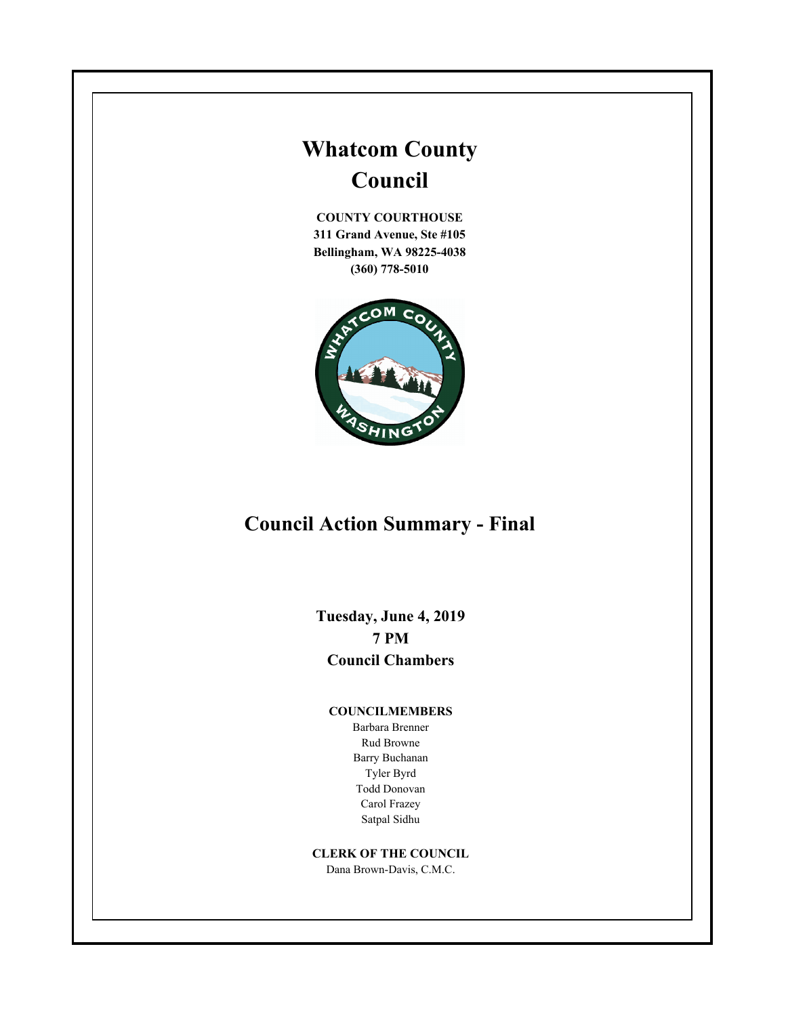# **Whatcom County Council**

**COUNTY COURTHOUSE 311 Grand Avenue, Ste #105 Bellingham, WA 98225-4038 (360) 778-5010**



# **Council Action Summary - Final**

**Tuesday, June 4, 2019 7 PM Council Chambers**

#### **COUNCILMEMBERS**

Barbara Brenner Rud Browne Barry Buchanan Tyler Byrd Todd Donovan Carol Frazey Satpal Sidhu

#### **CLERK OF THE COUNCIL**

Dana Brown-Davis, C.M.C.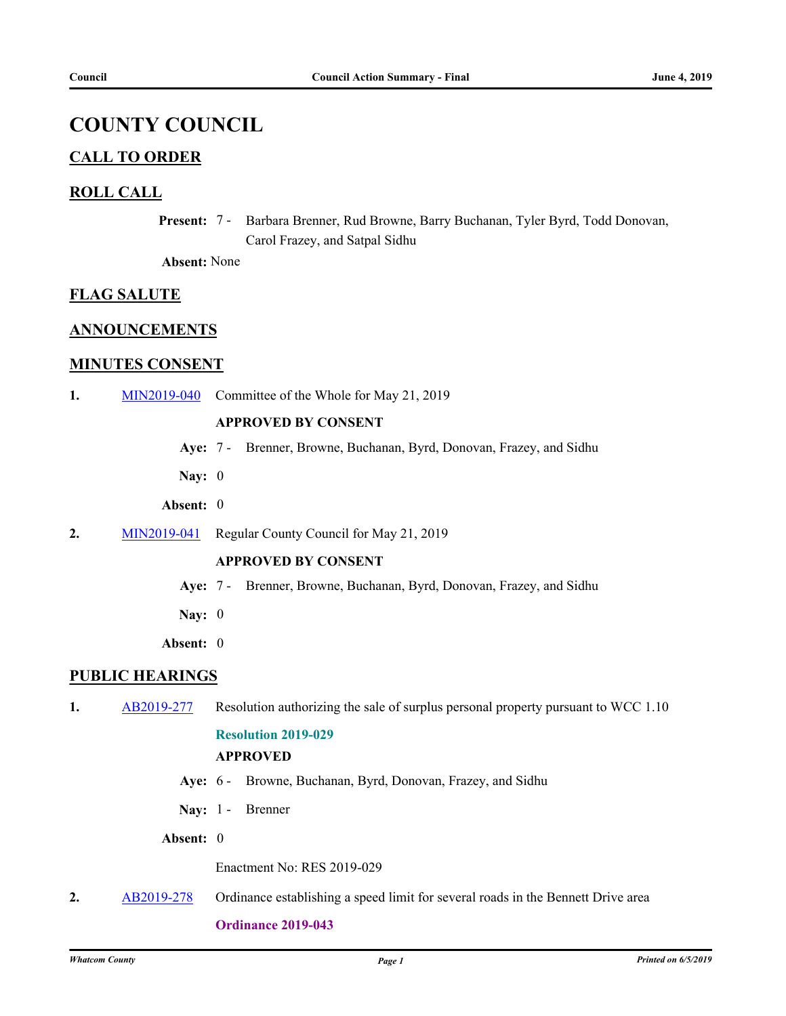## **COUNTY COUNCIL**

## **CALL TO ORDER**

## **ROLL CALL**

Present: 7 - Barbara Brenner, Rud Browne, Barry Buchanan, Tyler Byrd, Todd Donovan, Carol Frazey, and Satpal Sidhu

**Absent:** None

### **FLAG SALUTE**

### **ANNOUNCEMENTS**

## **MINUTES CONSENT**

**1.** [MIN2019-040](http://whatcom.legistar.com/gateway.aspx?m=l&id=/matter.aspx?key=2373) Committee of the Whole for May 21, 2019

#### **APPROVED BY CONSENT**

- **Aye:** 7 Brenner, Browne, Buchanan, Byrd, Donovan, Frazey, and Sidhu
- **Nay:** 0
- **Absent:** 0
- **2.** [MIN2019-041](http://whatcom.legistar.com/gateway.aspx?m=l&id=/matter.aspx?key=2375) Regular County Council for May 21, 2019

#### **APPROVED BY CONSENT**

- **Aye:** 7 Brenner, Browne, Buchanan, Byrd, Donovan, Frazey, and Sidhu
- **Nay:** 0
- **Absent:** 0

### **PUBLIC HEARINGS**

**1.** [AB2019-277](http://whatcom.legistar.com/gateway.aspx?m=l&id=/matter.aspx?key=2309) Resolution authorizing the sale of surplus personal property pursuant to WCC 1.10

#### **Resolution 2019-029**

## **APPROVED**

- **Aye:** 6 Browne, Buchanan, Byrd, Donovan, Frazey, and Sidhu
- Nav: 1 Brenner
- **Absent:** 0

Enactment No: RES 2019-029

**2.** [AB2019-278](http://whatcom.legistar.com/gateway.aspx?m=l&id=/matter.aspx?key=2315) Ordinance establishing a speed limit for several roads in the Bennett Drive area

#### **Ordinance 2019-043**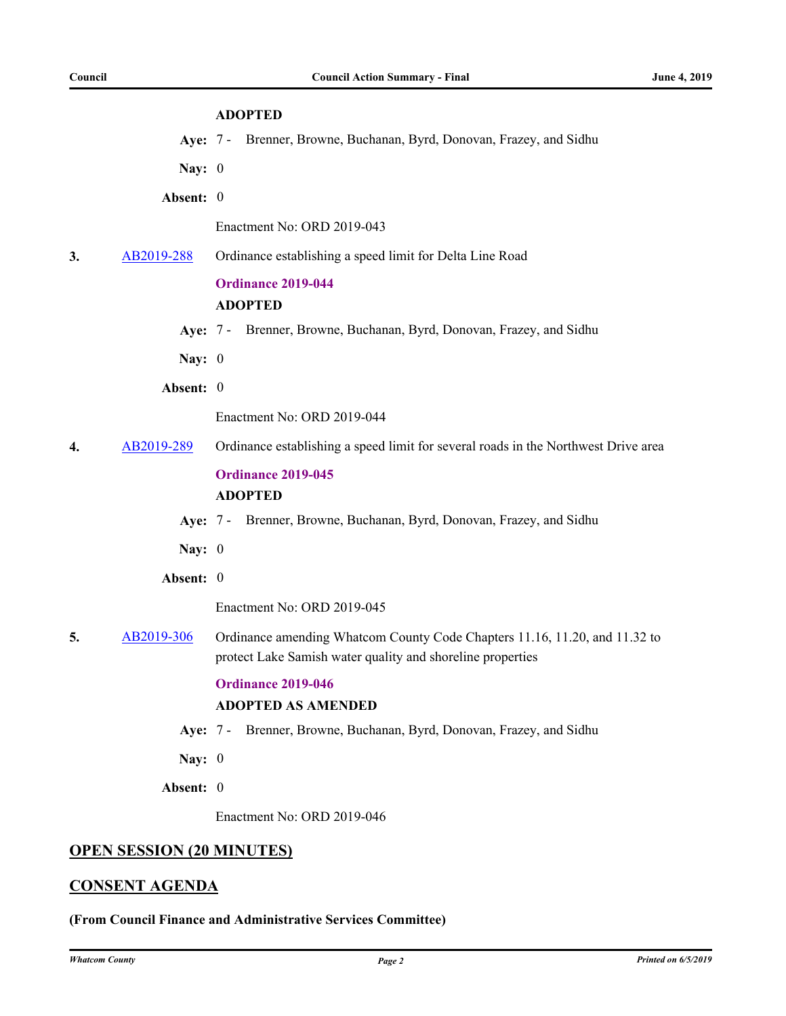#### **ADOPTED**

- **Aye:** 7 Brenner, Browne, Buchanan, Byrd, Donovan, Frazey, and Sidhu
- **Nay:** 0
- **Absent:** 0

Enactment No: ORD 2019-043

**3.** [AB2019-288](http://whatcom.legistar.com/gateway.aspx?m=l&id=/matter.aspx?key=2325) Ordinance establishing a speed limit for Delta Line Road

## **Ordinance 2019-044 ADOPTED**

**Aye:** 7 - Brenner, Browne, Buchanan, Byrd, Donovan, Frazey, and Sidhu

**Nay:** 0

**Absent:** 0

Enactment No: ORD 2019-044

**4.** [AB2019-289](http://whatcom.legistar.com/gateway.aspx?m=l&id=/matter.aspx?key=2326) Ordinance establishing a speed limit for several roads in the Northwest Drive area

#### **Ordinance 2019-045**

#### **ADOPTED**

- **Aye:** 7 Brenner, Browne, Buchanan, Byrd, Donovan, Frazey, and Sidhu
- **Nay:** 0
- **Absent:** 0

Enactment No: ORD 2019-045

**5.** [AB2019-306](http://whatcom.legistar.com/gateway.aspx?m=l&id=/matter.aspx?key=2343) Ordinance amending Whatcom County Code Chapters 11.16, 11.20, and 11.32 to protect Lake Samish water quality and shoreline properties

#### **Ordinance 2019-046**

### **ADOPTED AS AMENDED**

- **Aye:** 7 Brenner, Browne, Buchanan, Byrd, Donovan, Frazey, and Sidhu
- **Nay:** 0
- **Absent:** 0

Enactment No: ORD 2019-046

#### **OPEN SESSION (20 MINUTES)**

#### **CONSENT AGENDA**

**(From Council Finance and Administrative Services Committee)**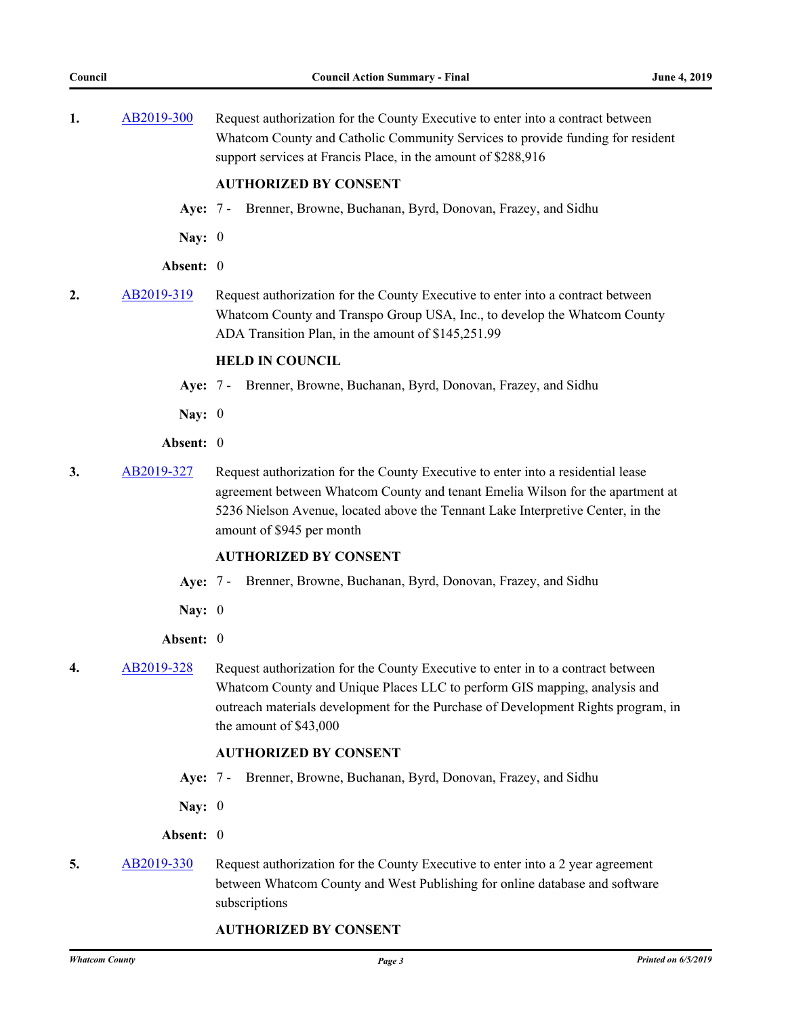| 1.               | AB2019-300 | Request authorization for the County Executive to enter into a contract between<br>Whatcom County and Catholic Community Services to provide funding for resident<br>support services at Francis Place, in the amount of \$288,916                                                      |
|------------------|------------|-----------------------------------------------------------------------------------------------------------------------------------------------------------------------------------------------------------------------------------------------------------------------------------------|
|                  |            | <b>AUTHORIZED BY CONSENT</b>                                                                                                                                                                                                                                                            |
|                  | Aye: $7 -$ | Brenner, Browne, Buchanan, Byrd, Donovan, Frazey, and Sidhu                                                                                                                                                                                                                             |
|                  | Nay: $0$   |                                                                                                                                                                                                                                                                                         |
|                  | Absent: 0  |                                                                                                                                                                                                                                                                                         |
| 2.               | AB2019-319 | Request authorization for the County Executive to enter into a contract between<br>Whatcom County and Transpo Group USA, Inc., to develop the Whatcom County<br>ADA Transition Plan, in the amount of \$145,251.99                                                                      |
|                  |            | <b>HELD IN COUNCIL</b>                                                                                                                                                                                                                                                                  |
|                  | Aye: $7 -$ | Brenner, Browne, Buchanan, Byrd, Donovan, Frazey, and Sidhu                                                                                                                                                                                                                             |
|                  | Nay: $0$   |                                                                                                                                                                                                                                                                                         |
|                  | Absent: 0  |                                                                                                                                                                                                                                                                                         |
| 3.               | AB2019-327 | Request authorization for the County Executive to enter into a residential lease<br>agreement between Whatcom County and tenant Emelia Wilson for the apartment at<br>5236 Nielson Avenue, located above the Tennant Lake Interpretive Center, in the<br>amount of \$945 per month      |
|                  |            | <b>AUTHORIZED BY CONSENT</b>                                                                                                                                                                                                                                                            |
|                  | Aye: $7 -$ | Brenner, Browne, Buchanan, Byrd, Donovan, Frazey, and Sidhu                                                                                                                                                                                                                             |
|                  | Nay: $0$   |                                                                                                                                                                                                                                                                                         |
|                  | Absent: 0  |                                                                                                                                                                                                                                                                                         |
| $\boldsymbol{4}$ |            | AB2019-328 Request authorization for the County Executive to enter in to a contract between<br>Whatcom County and Unique Places LLC to perform GIS mapping, analysis and<br>outreach materials development for the Purchase of Development Rights program, in<br>the amount of \$43,000 |
|                  |            | <b>AUTHORIZED BY CONSENT</b>                                                                                                                                                                                                                                                            |
|                  | Aye: 7 -   | Brenner, Browne, Buchanan, Byrd, Donovan, Frazey, and Sidhu                                                                                                                                                                                                                             |
|                  | Nay: $0$   |                                                                                                                                                                                                                                                                                         |
|                  | Absent: 0  |                                                                                                                                                                                                                                                                                         |
| 5.               | AB2019-330 | Request authorization for the County Executive to enter into a 2 year agreement<br>between Whatcom County and West Publishing for online database and software<br>subscriptions                                                                                                         |

#### **AUTHORIZED BY CONSENT**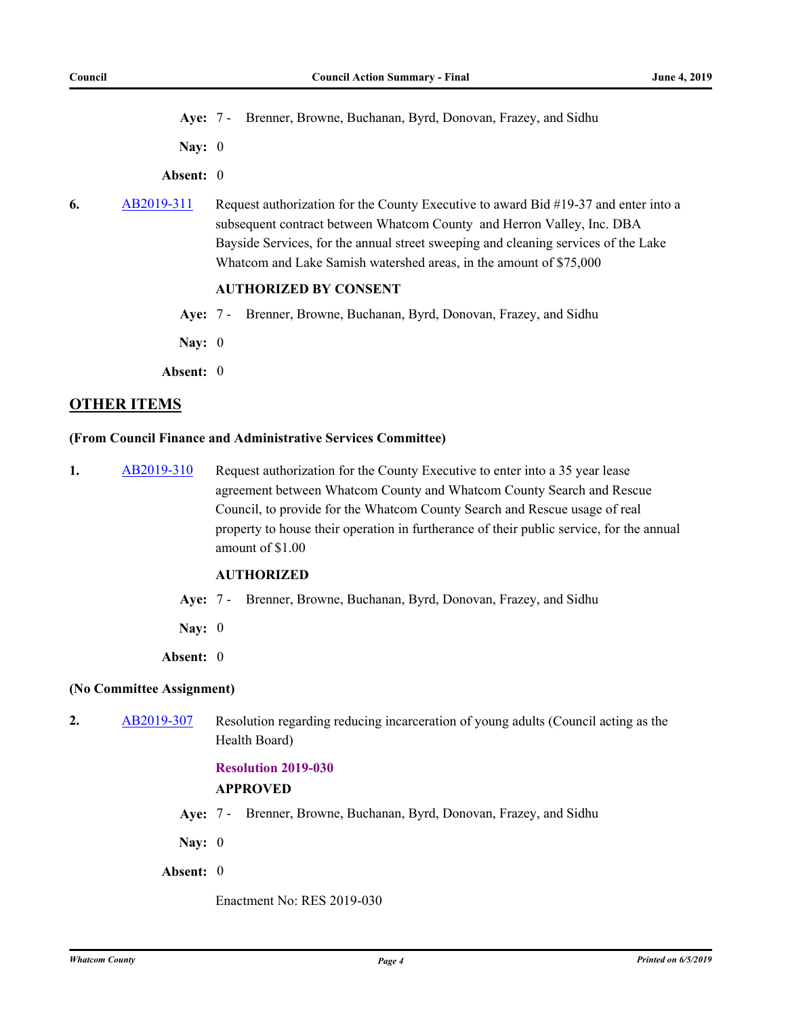**Aye:** 7 - Brenner, Browne, Buchanan, Byrd, Donovan, Frazey, and Sidhu

**Nay:** 0

**Absent:** 0

**6.** [AB2019-311](http://whatcom.legistar.com/gateway.aspx?m=l&id=/matter.aspx?key=2348) Request authorization for the County Executive to award Bid #19-37 and enter into a subsequent contract between Whatcom County and Herron Valley, Inc. DBA Bayside Services, for the annual street sweeping and cleaning services of the Lake Whatcom and Lake Samish watershed areas, in the amount of \$75,000

## **AUTHORIZED BY CONSENT**

- **Aye:** 7 Brenner, Browne, Buchanan, Byrd, Donovan, Frazey, and Sidhu
- **Nay:** 0
- **Absent:** 0

## **OTHER ITEMS**

#### **(From Council Finance and Administrative Services Committee)**

**1.** [AB2019-310](http://whatcom.legistar.com/gateway.aspx?m=l&id=/matter.aspx?key=2347) Request authorization for the County Executive to enter into a 35 year lease agreement between Whatcom County and Whatcom County Search and Rescue Council, to provide for the Whatcom County Search and Rescue usage of real property to house their operation in furtherance of their public service, for the annual amount of \$1.00

#### **AUTHORIZED**

- **Aye:** 7 Brenner, Browne, Buchanan, Byrd, Donovan, Frazey, and Sidhu
- **Nay:** 0
- **Absent:** 0

#### **(No Committee Assignment)**

**2.** [AB2019-307](http://whatcom.legistar.com/gateway.aspx?m=l&id=/matter.aspx?key=2344) Resolution regarding reducing incarceration of young adults (Council acting as the Health Board)

### **Resolution 2019-030**

#### **APPROVED**

- **Aye:** 7 Brenner, Browne, Buchanan, Byrd, Donovan, Frazey, and Sidhu
- **Nay:** 0
- **Absent:** 0

Enactment No: RES 2019-030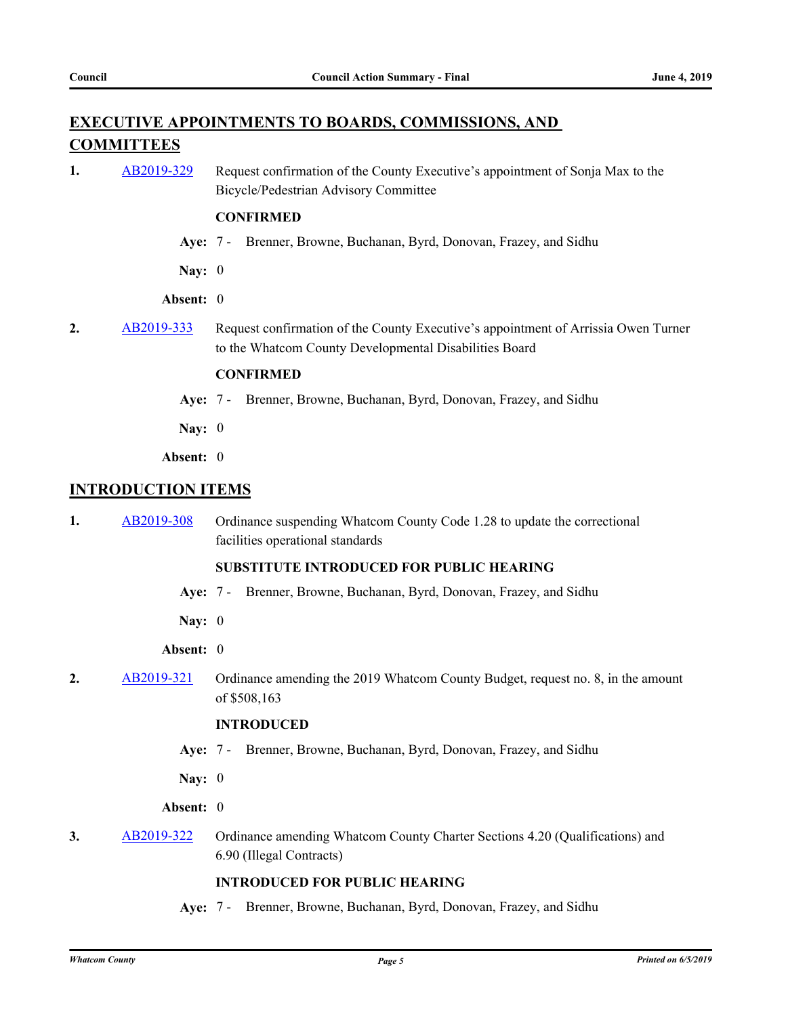## **EXECUTIVE APPOINTMENTS TO BOARDS, COMMISSIONS, AND COMMITTEES**

**1.** [AB2019-329](http://whatcom.legistar.com/gateway.aspx?m=l&id=/matter.aspx?key=2366) Request confirmation of the County Executive's appointment of Sonja Max to the Bicycle/Pedestrian Advisory Committee

#### **CONFIRMED**

- **Aye:** 7 Brenner, Browne, Buchanan, Byrd, Donovan, Frazey, and Sidhu
- **Nay:** 0

#### **Absent:** 0

**2.** [AB2019-333](http://whatcom.legistar.com/gateway.aspx?m=l&id=/matter.aspx?key=2370) Request confirmation of the County Executive's appointment of Arrissia Owen Turner to the Whatcom County Developmental Disabilities Board

#### **CONFIRMED**

- **Aye:** 7 Brenner, Browne, Buchanan, Byrd, Donovan, Frazey, and Sidhu
- **Nay:** 0
- **Absent:** 0

## **INTRODUCTION ITEMS**

**1.** [AB2019-308](http://whatcom.legistar.com/gateway.aspx?m=l&id=/matter.aspx?key=2345) Ordinance suspending Whatcom County Code 1.28 to update the correctional facilities operational standards

#### **SUBSTITUTE INTRODUCED FOR PUBLIC HEARING**

- **Aye:** 7 Brenner, Browne, Buchanan, Byrd, Donovan, Frazey, and Sidhu
- **Nay:** 0
- **Absent:** 0
- **2.** [AB2019-321](http://whatcom.legistar.com/gateway.aspx?m=l&id=/matter.aspx?key=2358) Ordinance amending the 2019 Whatcom County Budget, request no. 8, in the amount of \$508,163

#### **INTRODUCED**

- **Aye:** 7 Brenner, Browne, Buchanan, Byrd, Donovan, Frazey, and Sidhu
- **Nay:** 0

#### **Absent:** 0

**3.** [AB2019-322](http://whatcom.legistar.com/gateway.aspx?m=l&id=/matter.aspx?key=2359) Ordinance amending Whatcom County Charter Sections 4.20 (Qualifications) and 6.90 (Illegal Contracts)

## **INTRODUCED FOR PUBLIC HEARING**

**Aye:** 7 - Brenner, Browne, Buchanan, Byrd, Donovan, Frazey, and Sidhu